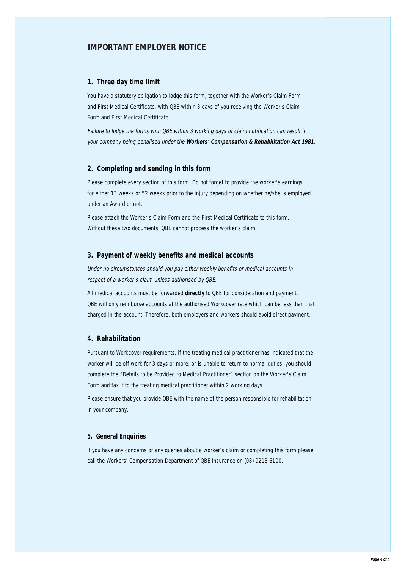## **IMPORTANT EMPLOYER NOTICE**

### **1. Three day time limit**

You have a statutory obligation to lodge this form, together with the Worker's Claim Form and First Medical Certificate, with QBE within 3 days of you receiving the Worker's Claim Form and First Medical Certificate.

Failure to lodge the forms with QBE within 3 working days of claim notification can result in your company being penalised under the **Workers' Compensation & Rehabilitation Act 1981**.

## **2. Completing and sending in this form**

Please complete every section of this form. Do not forget to provide the worker's earnings for either 13 weeks or 52 weeks prior to the injury depending on whether he/she is employed under an Award or not.

Please attach the Worker's Claim Form and the First Medical Certificate to this form. Without these two documents, QBE cannot process the worker's claim.

### **3. Payment of weekly benefits and medical accounts**

Under no circumstances should you pay either weekly benefits or medical accounts in respect of a worker's claim unless authorised by QBE.

All medical accounts must be forwarded **directly** to QBE for consideration and payment. QBE will only reimburse accounts at the authorised Workcover rate which can be less than that charged in the account. Therefore, both employers and workers should avoid direct payment.

### **4. Rehabilitation**

Pursuant to Workcover requirements, if the treating medical practitioner has indicated that the worker will be off work for 3 days or more, or is unable to return to normal duties, you should complete the "Details to be Provided to Medical Practitioner" section on the Worker's Claim Form and fax it to the treating medical practitioner within 2 working days.

Please ensure that you provide QBE with the name of the person responsible for rehabilitation in your company.

### **5. General Enquiries**

If you have any concerns or any queries about a worker's claim or completing this form please call the Workers' Compensation Department of QBE Insurance on (08) 9213 6100.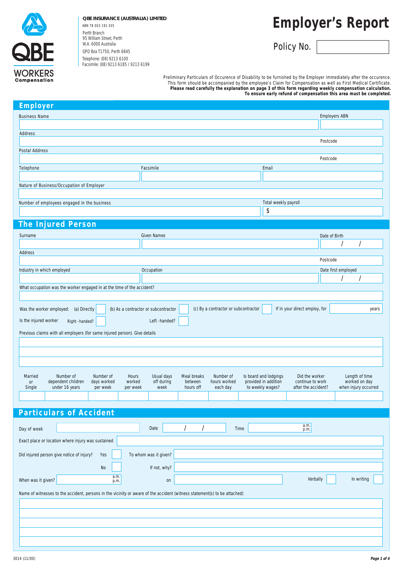

### **QBE INSURANCE (AUSTRALIA) LIMITED**

Perth Branch 95 William Street, Perth W.A. 6000 Australia GPO Box T1750, Perth 6845 Telephone: (08) 9213 6100 Facsimile: (08) 9213 6185 / 9213 6199 ABN 78 003 191 035

# **Employer's Report**

Policy No.

Preliminary Particulars of Occurence of Disability to be furnished by the Employer immediately after the occurence. This form should be accompanied by the employee's Claim for Compensation as well as First Medical Certificate. **Please read carefully the explanation on page 3 of this form regarding weekly compensation calculation. To ensure early refund of compensation this area must be completed.**

| <b>Employer</b>                                                                                                           |                                                                              |                                                                 |
|---------------------------------------------------------------------------------------------------------------------------|------------------------------------------------------------------------------|-----------------------------------------------------------------|
| <b>Business Name</b>                                                                                                      |                                                                              | <b>Employers ABN</b>                                            |
| Address                                                                                                                   |                                                                              |                                                                 |
|                                                                                                                           |                                                                              | Postcode                                                        |
| Postal Address                                                                                                            |                                                                              |                                                                 |
|                                                                                                                           |                                                                              | Postcode                                                        |
| Telephone                                                                                                                 | Facsimile                                                                    | Email                                                           |
| Nature of Business/Occupation of Employer                                                                                 |                                                                              |                                                                 |
|                                                                                                                           |                                                                              |                                                                 |
| Number of employees engaged in the business                                                                               |                                                                              | Total weekly payroll                                            |
|                                                                                                                           |                                                                              | \$                                                              |
| <b>The Injured Person</b>                                                                                                 |                                                                              |                                                                 |
|                                                                                                                           |                                                                              |                                                                 |
| Surname                                                                                                                   | <b>Given Names</b>                                                           | Date of Birth                                                   |
| Address                                                                                                                   |                                                                              |                                                                 |
|                                                                                                                           |                                                                              | Postcode                                                        |
| Industry in which employed                                                                                                | Occupation                                                                   | Date first employed                                             |
|                                                                                                                           |                                                                              |                                                                 |
| What occupation was the worker engaged in at the time of the accident?                                                    |                                                                              |                                                                 |
|                                                                                                                           |                                                                              |                                                                 |
| Was the worker employed: (a) Directly                                                                                     | (c) By a contractor or subcontractor<br>(b) As a contractor or subcontractor | If in your direct employ, for<br>years                          |
| Is the injured worker<br>Right -handed?                                                                                   | Left -handed?                                                                |                                                                 |
| Previous claims with all employers (for same injured person). Give details                                                |                                                                              |                                                                 |
|                                                                                                                           |                                                                              |                                                                 |
|                                                                                                                           |                                                                              |                                                                 |
|                                                                                                                           |                                                                              |                                                                 |
| Number of<br>Number of<br>Married<br>Hours                                                                                | Number of<br>Usual days<br>Meal breaks                                       | Is board and lodgings<br>Did the worker<br>Length of time       |
| dependent children<br>days worked<br>worked<br>or                                                                         | off during<br>hours worked<br>between                                        | provided in addition<br>worked on day<br>continue to work       |
| Single<br>under 16 years<br>per week<br>per week                                                                          | week<br>hours off<br>each day                                                | to weekly wages?<br>when injury occurred<br>after the accident? |
|                                                                                                                           |                                                                              |                                                                 |
| <b>Particulars of Accident</b>                                                                                            |                                                                              |                                                                 |
|                                                                                                                           |                                                                              |                                                                 |
| Day of week                                                                                                               | Date<br>Time                                                                 | $a.m.$ $p.m.$                                                   |
| Exact place or location where injury was sustained                                                                        |                                                                              |                                                                 |
| Did injured person give notice of injury?<br>Yes                                                                          | To whom was it given?                                                        |                                                                 |
|                                                                                                                           | If not, why?                                                                 |                                                                 |
| No<br>a.m.                                                                                                                |                                                                              |                                                                 |
| When was it given?<br>p.m.                                                                                                | on                                                                           | Verbally<br>In writing                                          |
| Name of witnesses to the accident, persons in the vicinity or aware of the accident (witness statement(s) to be attached) |                                                                              |                                                                 |
|                                                                                                                           |                                                                              |                                                                 |
|                                                                                                                           |                                                                              |                                                                 |
|                                                                                                                           |                                                                              |                                                                 |
|                                                                                                                           |                                                                              |                                                                 |
|                                                                                                                           |                                                                              |                                                                 |
|                                                                                                                           |                                                                              |                                                                 |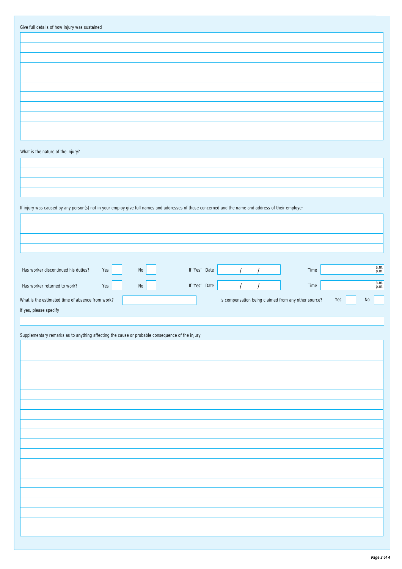| Give full details of how injury was sustained                                                                                                        |     |          |               |                                                      |      |     |               |
|------------------------------------------------------------------------------------------------------------------------------------------------------|-----|----------|---------------|------------------------------------------------------|------|-----|---------------|
|                                                                                                                                                      |     |          |               |                                                      |      |     |               |
|                                                                                                                                                      |     |          |               |                                                      |      |     |               |
|                                                                                                                                                      |     |          |               |                                                      |      |     |               |
|                                                                                                                                                      |     |          |               |                                                      |      |     |               |
|                                                                                                                                                      |     |          |               |                                                      |      |     |               |
|                                                                                                                                                      |     |          |               |                                                      |      |     |               |
|                                                                                                                                                      |     |          |               |                                                      |      |     |               |
|                                                                                                                                                      |     |          |               |                                                      |      |     |               |
|                                                                                                                                                      |     |          |               |                                                      |      |     |               |
|                                                                                                                                                      |     |          |               |                                                      |      |     |               |
| What is the nature of the injury?                                                                                                                    |     |          |               |                                                      |      |     |               |
|                                                                                                                                                      |     |          |               |                                                      |      |     |               |
|                                                                                                                                                      |     |          |               |                                                      |      |     |               |
|                                                                                                                                                      |     |          |               |                                                      |      |     |               |
|                                                                                                                                                      |     |          |               |                                                      |      |     |               |
| If injury was caused by any person(s) not in your employ give full names and addresses of those concerned and the name and address of their employer |     |          |               |                                                      |      |     |               |
|                                                                                                                                                      |     |          |               |                                                      |      |     |               |
|                                                                                                                                                      |     |          |               |                                                      |      |     |               |
|                                                                                                                                                      |     |          |               |                                                      |      |     |               |
|                                                                                                                                                      |     |          |               |                                                      |      |     |               |
| Has worker discontinued his duties?                                                                                                                  | Yes | $\rm No$ | If 'Yes' Date |                                                      | Time |     | a.m.<br>p.m.  |
|                                                                                                                                                      |     |          |               |                                                      |      |     |               |
| Has worker returned to work?                                                                                                                         | Yes | No       | If 'Yes' Date |                                                      | Time |     | $a.m.$ $p.m.$ |
| What is the estimated time of absence from work?                                                                                                     |     |          |               | Is compensation being claimed from any other source? |      | Yes | $\rm No$      |
| If yes, please specify                                                                                                                               |     |          |               |                                                      |      |     |               |
|                                                                                                                                                      |     |          |               |                                                      |      |     |               |
| Supplementary remarks as to anything affecting the cause or probable consequence of the injury                                                       |     |          |               |                                                      |      |     |               |
|                                                                                                                                                      |     |          |               |                                                      |      |     |               |
|                                                                                                                                                      |     |          |               |                                                      |      |     |               |
|                                                                                                                                                      |     |          |               |                                                      |      |     |               |
|                                                                                                                                                      |     |          |               |                                                      |      |     |               |
|                                                                                                                                                      |     |          |               |                                                      |      |     |               |
|                                                                                                                                                      |     |          |               |                                                      |      |     |               |
|                                                                                                                                                      |     |          |               |                                                      |      |     |               |
|                                                                                                                                                      |     |          |               |                                                      |      |     |               |
|                                                                                                                                                      |     |          |               |                                                      |      |     |               |
|                                                                                                                                                      |     |          |               |                                                      |      |     |               |
|                                                                                                                                                      |     |          |               |                                                      |      |     |               |
|                                                                                                                                                      |     |          |               |                                                      |      |     |               |
|                                                                                                                                                      |     |          |               |                                                      |      |     |               |
|                                                                                                                                                      |     |          |               |                                                      |      |     |               |
|                                                                                                                                                      |     |          |               |                                                      |      |     |               |
|                                                                                                                                                      |     |          |               |                                                      |      |     |               |
|                                                                                                                                                      |     |          |               |                                                      |      |     |               |
|                                                                                                                                                      |     |          |               |                                                      |      |     |               |
|                                                                                                                                                      |     |          |               |                                                      |      |     |               |